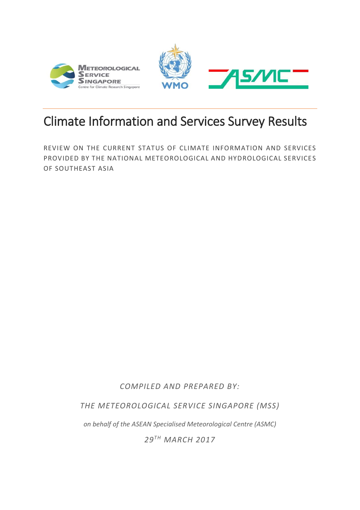



# Climate Information and Services Survey Results

REVIEW ON THE CURRENT STATUS OF CLIMATE INFORMATION AND SERVICES PROVIDED BY THE NATIONAL METEOROLOGICAL AND HYDROLOGICAL SERVICES OF SOUTHEAST ASIA

*COMPILED AND PREPARED BY:* 

*THE METEOROLOGICAL SERVICE SINGAPORE (MSS)*

*on behalf of the ASEAN Specialised Meteorological Centre (ASMC)*

*29T H MARCH 2017*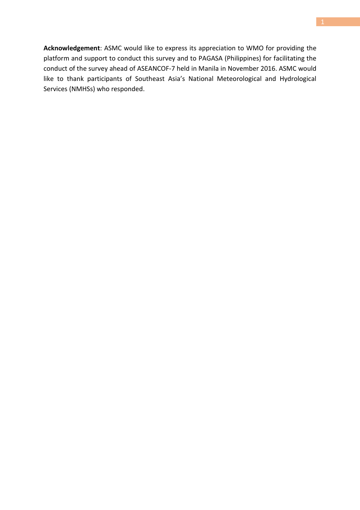**Acknowledgement**: ASMC would like to express its appreciation to WMO for providing the platform and support to conduct this survey and to PAGASA (Philippines) for facilitating the conduct of the survey ahead of ASEANCOF-7 held in Manila in November 2016. ASMC would like to thank participants of Southeast Asia's National Meteorological and Hydrological Services (NMHSs) who responded.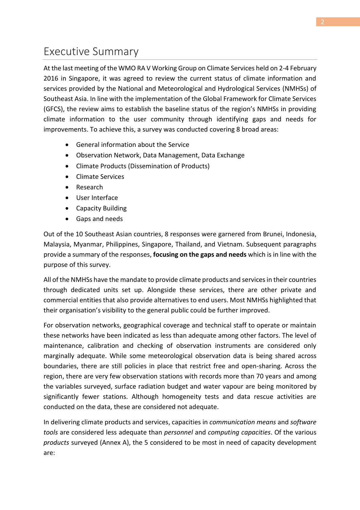# Executive Summary

At the last meeting of the WMO RA V Working Group on Climate Services held on 2-4 February 2016 in Singapore, it was agreed to review the current status of climate information and services provided by the National and Meteorological and Hydrological Services (NMHSs) of Southeast Asia. In line with the implementation of the Global Framework for Climate Services (GFCS), the review aims to establish the baseline status of the region's NMHSs in providing climate information to the user community through identifying gaps and needs for improvements. To achieve this, a survey was conducted covering 8 broad areas:

- General information about the Service
- Observation Network, Data Management, Data Exchange
- Climate Products (Dissemination of Products)
- Climate Services
- Research
- User Interface
- Capacity Building
- Gaps and needs

Out of the 10 Southeast Asian countries, 8 responses were garnered from Brunei, Indonesia, Malaysia, Myanmar, Philippines, Singapore, Thailand, and Vietnam. Subsequent paragraphs provide a summary of the responses, **focusing on the gaps and needs** which is in line with the purpose of this survey.

All of the NMHSs have the mandate to provide climate products and services in their countries through dedicated units set up. Alongside these services, there are other private and commercial entities that also provide alternatives to end users. Most NMHSs highlighted that their organisation's visibility to the general public could be further improved.

For observation networks, geographical coverage and technical staff to operate or maintain these networks have been indicated as less than adequate among other factors. The level of maintenance, calibration and checking of observation instruments are considered only marginally adequate. While some meteorological observation data is being shared across boundaries, there are still policies in place that restrict free and open-sharing. Across the region, there are very few observation stations with records more than 70 years and among the variables surveyed, surface radiation budget and water vapour are being monitored by significantly fewer stations. Although homogeneity tests and data rescue activities are conducted on the data, these are considered not adequate.

In delivering climate products and services, capacities in *communication means* and *software tools* are considered less adequate than *personnel* and *computing capacities*. Of the various *products* surveyed [\(Annex A\)](#page-18-0), the 5 considered to be most in need of capacity development are: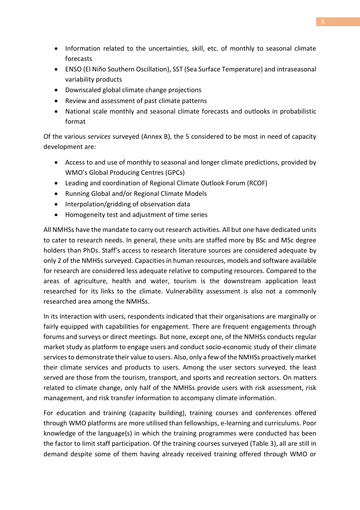- Information related to the uncertainties, skill, etc. of monthly to seasonal climate forecasts
- ENSO (El Niño Southern Oscillation), SST (Sea Surface Temperature) and intraseasonal variability products
- Downscaled global climate change projections
- Review and assessment of past climate patterns
- National scale monthly and seasonal climate forecasts and outlooks in probabilistic format

Of the various *services* surveyed [\(Annex B\)](#page-20-0), the 5 considered to be most in need of capacity development are:

- Access to and use of monthly to seasonal and longer climate predictions, provided by WMO's Global Producing Centres (GPCs)
- Leading and coordination of Regional Climate Outlook Forum (RCOF)
- Running Global and/or Regional Climate Models
- Interpolation/gridding of observation data
- Homogeneity test and adjustment of time series

All NMHSs have the mandate to carry out research activities. All but one have dedicated units to cater to research needs. In general, these units are staffed more by BSc and MSc degree holders than PhDs. Staff's access to research literature sources are considered adequate by only 2 of the NMHSs surveyed. Capacities in human resources, models and software available for research are considered less adequate relative to computing resources. Compared to the areas of agriculture, health and water, tourism is the downstream application least researched for its links to the climate. Vulnerability assessment is also not a commonly researched area among the NMHSs.

In its interaction with users, respondents indicated that their organisations are marginally or fairly equipped with capabilities for engagement. There are frequent engagements through forums and surveys or direct meetings. But none, except one, of the NMHSs conducts regular market study as platform to engage users and conduct socio-economic study of their climate services to demonstrate their value to users. Also, only a few of the NMHSs proactively market their climate services and products to users. Among the user sectors surveyed, the least served are those from the tourism, transport, and sports and recreation sectors. On matters related to climate change, only half of the NMHSs provide users with risk assessment, risk management, and risk transfer information to accompany climate information.

For education and training (capacity building), training courses and conferences offered through WMO platforms are more utilised than fellowships, e-learning and curriculums. Poor knowledge of the language(s) in which the training programmes were conducted has been the factor to limit staff participation. Of the training courses surveyed [\(Table 3\)](#page-15-0), all are still in demand despite some of them having already received training offered through WMO or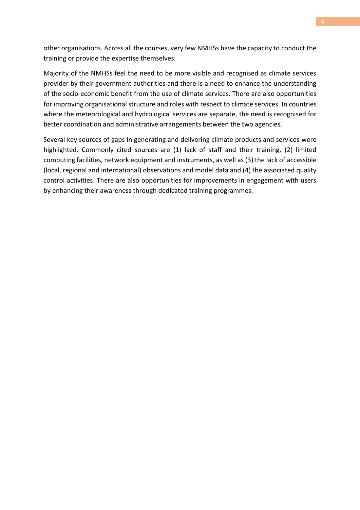other organisations. Across all the courses, very few NMHSs have the capacity to conduct the training or provide the expertise themselves.

Majority of the NMHSs feel the need to be more visible and recognised as climate services provider by their government authorities and there is a need to enhance the understanding of the socio-economic benefit from the use of climate services. There are also opportunities for improving organisational structure and roles with respect to climate services. In countries where the meteorological and hydrological services are separate, the need is recognised for better coordination and administrative arrangements between the two agencies.

Several key sources of gaps in generating and delivering climate products and services were highlighted. Commonly cited sources are (1) lack of staff and their training, (2) limited computing facilities, network equipment and instruments, as well as (3) the lack of accessible (local, regional and international) observations and model data and (4) the associated quality control activities. There are also opportunities for improvements in engagement with users by enhancing their awareness through dedicated training programmes.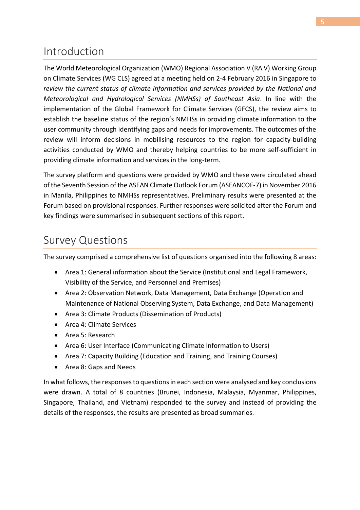# Introduction

The World Meteorological Organization (WMO) Regional Association V (RA V) Working Group on Climate Services (WG CLS) agreed at a meeting held on 2-4 February 2016 in Singapore to *review the current status of climate information and services provided by the National and Meteorological and Hydrological Services (NMHSs) of Southeast Asia*. In line with the implementation of the Global Framework for Climate Services (GFCS), the review aims to establish the baseline status of the region's NMHSs in providing climate information to the user community through identifying gaps and needs for improvements. The outcomes of the review will inform decisions in mobilising resources to the region for capacity-building activities conducted by WMO and thereby helping countries to be more self-sufficient in providing climate information and services in the long-term.

The survey platform and questions were provided by WMO and these were circulated ahead of the Seventh Session of the ASEAN Climate Outlook Forum (ASEANCOF-7) in November 2016 in Manila, Philippines to NMHSs representatives. Preliminary results were presented at the Forum based on provisional responses. Further responses were solicited after the Forum and key findings were summarised in subsequent sections of this report.

# Survey Questions

The survey comprised a comprehensive list of questions organised into the following 8 areas:

- Area 1: General information about the Service (Institutional and Legal Framework, Visibility of the Service, and Personnel and Premises)
- Area 2: Observation Network, Data Management, Data Exchange (Operation and Maintenance of National Observing System, Data Exchange, and Data Management)
- Area 3: Climate Products (Dissemination of Products)
- Area 4: Climate Services
- Area 5: Research
- Area 6: User Interface (Communicating Climate Information to Users)
- Area 7: Capacity Building (Education and Training, and Training Courses)
- Area 8: Gaps and Needs

In what follows, the responses to questions in each section were analysed and key conclusions were drawn. A total of 8 countries (Brunei, Indonesia, Malaysia, Myanmar, Philippines, Singapore, Thailand, and Vietnam) responded to the survey and instead of providing the details of the responses, the results are presented as broad summaries.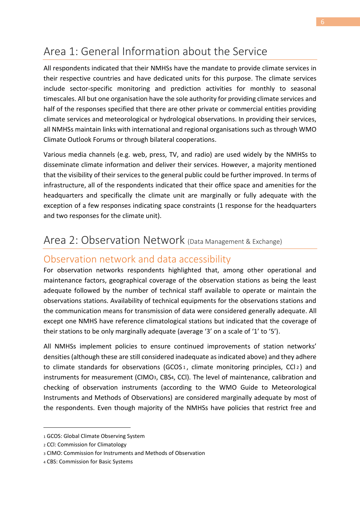# Area 1: General Information about the Service

All respondents indicated that their NMHSs have the mandate to provide climate services in their respective countries and have dedicated units for this purpose. The climate services include sector-specific monitoring and prediction activities for monthly to seasonal timescales. All but one organisation have the sole authority for providing climate services and half of the responses specified that there are other private or commercial entities providing climate services and meteorological or hydrological observations. In providing their services, all NMHSs maintain links with international and regional organisations such as through WMO Climate Outlook Forums or through bilateral cooperations.

Various media channels (e.g. web, press, TV, and radio) are used widely by the NMHSs to disseminate climate information and deliver their services. However, a majority mentioned that the visibility of their services to the general public could be further improved. In terms of infrastructure, all of the respondents indicated that their office space and amenities for the headquarters and specifically the climate unit are marginally or fully adequate with the exception of a few responses indicating space constraints (1 response for the headquarters and two responses for the climate unit).

### Area 2: Observation Network (Data Management & Exchange)

#### Observation network and data accessibility

For observation networks respondents highlighted that, among other operational and maintenance factors, geographical coverage of the observation stations as being the least adequate followed by the number of technical staff available to operate or maintain the observations stations. Availability of technical equipments for the observations stations and the communication means for transmission of data were considered generally adequate. All except one NMHS have reference climatological stations but indicated that the coverage of their stations to be only marginally adequate (average '3' on a scale of '1' to '5').

All NMHSs implement policies to ensure continued improvements of station networks' densities (although these are still considered inadequate as indicated above) and they adhere to climate standards for observations (GCOS<sub>1</sub>, climate monitoring principles, CCl<sub>2</sub>) and instruments for measurement (CIMO<sub>3</sub>, CBS<sub>4</sub>, CCI). The level of maintenance, calibration and checking of observation instruments (according to the WMO Guide to Meteorological Instruments and Methods of Observations) are considered marginally adequate by most of the respondents. Even though majority of the NMHSs have policies that restrict free and

.

<sup>1</sup> GCOS: Global Climate Observing System

<sup>2</sup> CCl: Commission for Climatology

<sup>3</sup> CIMO: Commission for Instruments and Methods of Observation

<sup>4</sup> CBS: Commission for Basic Systems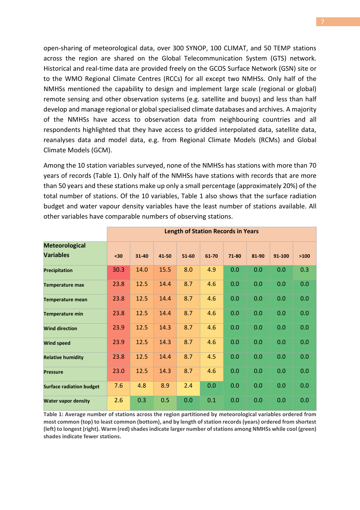open-sharing of meteorological data, over 300 SYNOP, 100 CLIMAT, and 50 TEMP stations across the region are shared on the Global Telecommunication System (GTS) network. Historical and real-time data are provided freely on the GCOS Surface Network (GSN) site or to the WMO Regional Climate Centres (RCCs) for all except two NMHSs. Only half of the NMHSs mentioned the capability to design and implement large scale (regional or global) remote sensing and other observation systems (e.g. satellite and buoys) and less than half develop and manage regional or global specialised climate databases and archives. A majority of the NMHSs have access to observation data from neighbouring countries and all respondents highlighted that they have access to gridded interpolated data, satellite data, reanalyses data and model data, e.g. from Regional Climate Models (RCMs) and Global Climate Models (GCM).

Among the 10 station variables surveyed, none of the NMHSs has stations with more than 70 years of records [\(Table 1\)](#page-7-0). Only half of the NMHSs have stations with records that are more than 50 years and these stations make up only a small percentage (approximately 20%) of the total number of stations. Of the 10 variables, [Table 1](#page-7-0) also shows that the surface radiation budget and water vapour density variables have the least number of stations available. All other variables have comparable numbers of observing stations.

|                                           | <b>Length of Station Records in Years</b> |       |       |       |       |       |       |        |      |
|-------------------------------------------|-------------------------------------------|-------|-------|-------|-------|-------|-------|--------|------|
| <b>Meteorological</b><br><b>Variables</b> | $30$                                      | 31-40 | 41-50 | 51-60 | 61-70 | 71-80 | 81-90 | 91-100 | >100 |
| <b>Precipitation</b>                      | 30.3                                      | 14.0  | 15.5  | 8.0   | 4.9   | 0.0   | 0.0   | 0.0    | 0.3  |
| <b>Temperature max</b>                    | 23.8                                      | 12.5  | 14.4  | 8.7   | 4.6   | 0.0   | 0.0   | 0.0    | 0.0  |
| <b>Temperature mean</b>                   | 23.8                                      | 12.5  | 14.4  | 8.7   | 4.6   | 0.0   | 0.0   | 0.0    | 0.0  |
| <b>Temperature min</b>                    | 23.8                                      | 12.5  | 14.4  | 8.7   | 4.6   | 0.0   | 0.0   | 0.0    | 0.0  |
| <b>Wind direction</b>                     | 23.9                                      | 12.5  | 14.3  | 8.7   | 4.6   | 0.0   | 0.0   | 0.0    | 0.0  |
| <b>Wind speed</b>                         | 23.9                                      | 12.5  | 14.3  | 8.7   | 4.6   | 0.0   | 0.0   | 0.0    | 0.0  |
| <b>Relative humidity</b>                  | 23.8                                      | 12.5  | 14.4  | 8.7   | 4.5   | 0.0   | 0.0   | 0.0    | 0.0  |
| <b>Pressure</b>                           | 23.0                                      | 12.5  | 14.3  | 8.7   | 4.6   | 0.0   | 0.0   | 0.0    | 0.0  |
| <b>Surface radiation budget</b>           | 7.6                                       | 4.8   | 8.9   | 2.4   | 0.0   | 0.0   | 0.0   | 0.0    | 0.0  |
| <b>Water vapor density</b>                | 2.6                                       | 0.3   | 0.5   | 0.0   | 0.1   | 0.0   | 0.0   | 0.0    | 0.0  |

<span id="page-7-0"></span>**Table 1: Average number of stations across the region partitioned by meteorological variables ordered from most common (top) to least common (bottom), and by length of station records (years) ordered from shortest (left) to longest (right). Warm (red)shades indicate larger number ofstations among NMHSs while cool (green) shades indicate fewer stations.**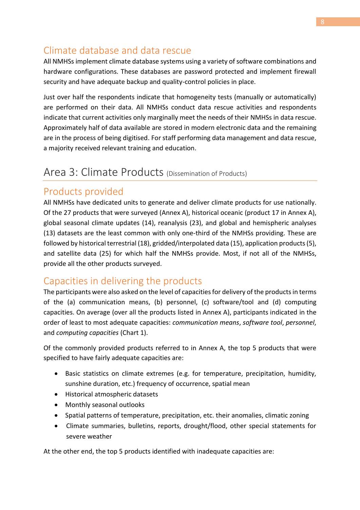### Climate database and data rescue

All NMHSs implement climate database systems using a variety of software combinations and hardware configurations. These databases are password protected and implement firewall security and have adequate backup and quality-control policies in place.

Just over half the respondents indicate that homogeneity tests (manually or automatically) are performed on their data. All NMHSs conduct data rescue activities and respondents indicate that current activities only marginally meet the needs of their NMHSs in data rescue. Approximately half of data available are stored in modern electronic data and the remaining are in the process of being digitised. For staff performing data management and data rescue, a majority received relevant training and education.

### Area 3: Climate Products (Dissemination of Products)

### Products provided

All NMHSs have dedicated units to generate and deliver climate products for use nationally. Of the 27 products that were surveyed [\(Annex A\)](#page-18-0), historical oceanic (product 17 in [Annex A\)](#page-18-0), global seasonal climate updates (14), reanalysis (23), and global and hemispheric analyses (13) datasets are the least common with only one-third of the NMHSs providing. These are followed by historical terrestrial (18), gridded/interpolated data (15), application products (5), and satellite data (25) for which half the NMHSs provide. Most, if not all of the NMHSs, provide all the other products surveyed.

### Capacities in delivering the products

The participants were also asked on the level of capacities for delivery of the productsin terms of the (a) communication means, (b) personnel, (c) software/tool and (d) computing capacities. On average (over all the products listed in [Annex A\)](#page-18-0), participants indicated in the order of least to most adequate capacities: *communication means*, *software tool*, *personnel*, and *computing capacities* [\(Chart 1\)](#page-9-0).

Of the commonly provided products referred to in [Annex A,](#page-18-0) the top 5 products that were specified to have fairly adequate capacities are:

- Basic statistics on climate extremes (e.g. for temperature, precipitation, humidity, sunshine duration, etc.) frequency of occurrence, spatial mean
- Historical atmospheric datasets
- Monthly seasonal outlooks
- Spatial patterns of temperature, precipitation, etc. their anomalies, climatic zoning
- Climate summaries, bulletins, reports, drought/flood, other special statements for severe weather

At the other end, the top 5 products identified with inadequate capacities are: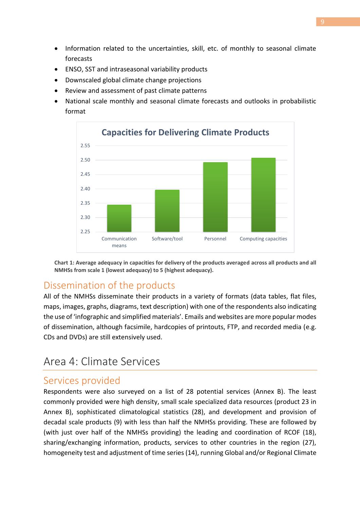- Information related to the uncertainties, skill, etc. of monthly to seasonal climate forecasts
- ENSO, SST and intraseasonal variability products
- Downscaled global climate change projections
- Review and assessment of past climate patterns
- National scale monthly and seasonal climate forecasts and outlooks in probabilistic format



<span id="page-9-0"></span>**Chart 1: Average adequacy in capacities for delivery of the products averaged across all products and all NMHSs from scale 1 (lowest adequacy) to 5 (highest adequacy).**

# Dissemination of the products

All of the NMHSs disseminate their products in a variety of formats (data tables, flat files, maps, images, graphs, diagrams, text description) with one of the respondents also indicating the use of 'infographic and simplified materials'. Emails and websites are more popular modes of dissemination, although facsimile, hardcopies of printouts, FTP, and recorded media (e.g. CDs and DVDs) are still extensively used.

# Area 4: Climate Services

#### Services provided

Respondents were also surveyed on a list of 28 potential services [\(Annex B\)](#page-20-0). The least commonly provided were high density, small scale specialized data resources (product 23 in [Annex B\)](#page-20-0), sophisticated climatological statistics (28), and development and provision of decadal scale products (9) with less than half the NMHSs providing. These are followed by (with just over half of the NMHSs providing) the leading and coordination of RCOF (18), sharing/exchanging information, products, services to other countries in the region (27), homogeneity test and adjustment of time series (14), running Global and/or Regional Climate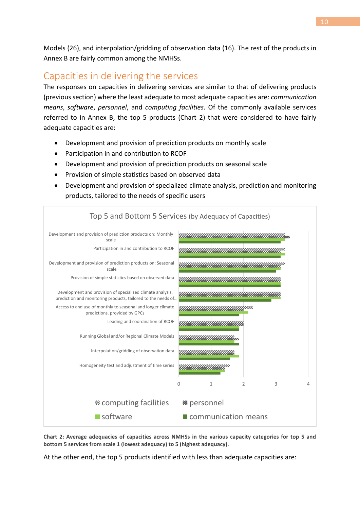Models (26), and interpolation/gridding of observation data (16). The rest of the products in [Annex B](#page-20-0) are fairly common among the NMHSs.

### Capacities in delivering the services

The responses on capacities in delivering services are similar to that of delivering products (previous section) where the least adequate to most adequate capacities are: *communication means*, *software*, *personnel*, and *computing facilities*. Of the commonly available services referred to in [Annex B,](#page-20-0) the top 5 products [\(Chart 2\)](#page-10-0) that were considered to have fairly adequate capacities are:

- Development and provision of prediction products on monthly scale
- Participation in and contribution to RCOF
- Development and provision of prediction products on seasonal scale
- Provision of simple statistics based on observed data
- Development and provision of specialized climate analysis, prediction and monitoring products, tailored to the needs of specific users



<span id="page-10-0"></span>**Chart 2: Average adequacies of capacities across NMHSs in the various capacity categories for top 5 and bottom 5 services from scale 1 (lowest adequacy) to 5 (highest adequacy).**

At the other end, the top 5 products identified with less than adequate capacities are: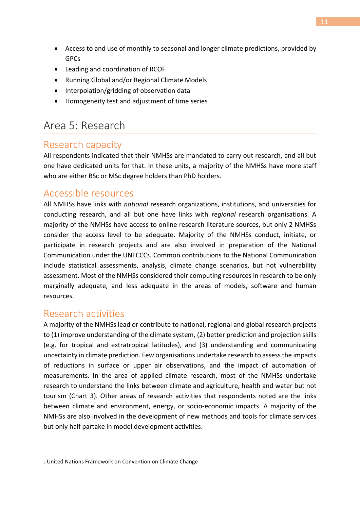- Access to and use of monthly to seasonal and longer climate predictions, provided by GPCs
- Leading and coordination of RCOF
- Running Global and/or Regional Climate Models
- Interpolation/gridding of observation data
- Homogeneity test and adjustment of time series

# Area 5: Research

#### Research capacity

All respondents indicated that their NMHSs are mandated to carry out research, and all but one have dedicated units for that. In these units, a majority of the NMHSs have more staff who are either BSc or MSc degree holders than PhD holders.

#### Accessible resources

All NMHSs have links with *national* research organizations, institutions, and universities for conducting research, and all but one have links with *regional* research organisations. A majority of the NMHSs have access to online research literature sources, but only 2 NMHSs consider the access level to be adequate. Majority of the NMHSs conduct, initiate, or participate in research projects and are also involved in preparation of the National Communication under the UNFCCC5. Common contributions to the National Communication include statistical assessments, analysis, climate change scenarios, but not vulnerability assessment. Most of the NMHSs considered their computing resources in research to be only marginally adequate, and less adequate in the areas of models, software and human resources.

#### Research activities

-

A majority of the NMHSs lead or contribute to national, regional and global research projects to (1) improve understanding of the climate system, (2) better prediction and projection skills (e.g. for tropical and extratropical latitudes), and (3) understanding and communicating uncertainty in climate prediction. Few organisations undertake research to assess the impacts of reductions in surface or upper air observations, and the impact of automation of measurements. In the area of applied climate research, most of the NMHSs undertake research to understand the links between climate and agriculture, health and water but not tourism [\(Chart 3\)](#page-12-0). Other areas of research activities that respondents noted are the links between climate and environment, energy, or socio-economic impacts. A majority of the NMHSs are also involved in the development of new methods and tools for climate services but only half partake in model development activities.

<sup>5</sup> United Nations Framework on Convention on Climate Change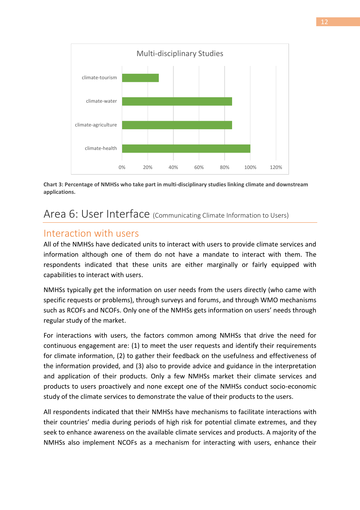

<span id="page-12-0"></span>**Chart 3: Percentage of NMHSs who take part in multi-disciplinary studies linking climate and downstream applications.**

# Area 6: User Interface (Communicating Climate Information to Users)

#### Interaction with users

All of the NMHSs have dedicated units to interact with users to provide climate services and information although one of them do not have a mandate to interact with them. The respondents indicated that these units are either marginally or fairly equipped with capabilities to interact with users.

NMHSs typically get the information on user needs from the users directly (who came with specific requests or problems), through surveys and forums, and through WMO mechanisms such as RCOFs and NCOFs. Only one of the NMHSs gets information on users' needs through regular study of the market.

For interactions with users, the factors common among NMHSs that drive the need for continuous engagement are: (1) to meet the user requests and identify their requirements for climate information, (2) to gather their feedback on the usefulness and effectiveness of the information provided, and (3) also to provide advice and guidance in the interpretation and application of their products. Only a few NMHSs market their climate services and products to users proactively and none except one of the NMHSs conduct socio-economic study of the climate services to demonstrate the value of their products to the users.

All respondents indicated that their NMHSs have mechanisms to facilitate interactions with their countries' media during periods of high risk for potential climate extremes, and they seek to enhance awareness on the available climate services and products. A majority of the NMHSs also implement NCOFs as a mechanism for interacting with users, enhance their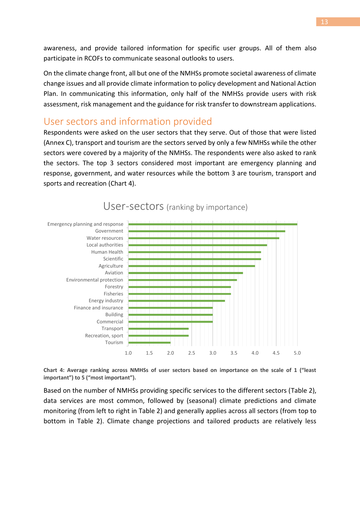awareness, and provide tailored information for specific user groups. All of them also participate in RCOFs to communicate seasonal outlooks to users.

On the climate change front, all but one of the NMHSs promote societal awareness of climate change issues and all provide climate information to policy development and National Action Plan. In communicating this information, only half of the NMHSs provide users with risk assessment, risk management and the guidance for risk transfer to downstream applications.

#### User sectors and information provided

Respondents were asked on the user sectors that they serve. Out of those that were listed [\(Annex C\)](#page-22-0), transport and tourism are the sectors served by only a few NMHSs while the other sectors were covered by a majority of the NMHSs. The respondents were also asked to rank the sectors. The top 3 sectors considered most important are emergency planning and response, government, and water resources while the bottom 3 are tourism, transport and sports and recreation [\(Chart 4\)](#page-13-0).



User-sectors (ranking by importance)

<span id="page-13-0"></span>**Chart 4: Average ranking across NMHSs of user sectors based on importance on the scale of 1 ("least important") to 5 ("most important").**

Based on the number of NMHSs providing specific services to the different sectors [\(Table 2\)](#page-14-0), data services are most common, followed by (seasonal) climate predictions and climate monitoring (from left to right in [Table 2\)](#page-14-0) and generally applies across all sectors (from top to bottom in [Table 2\)](#page-14-0). Climate change projections and tailored products are relatively less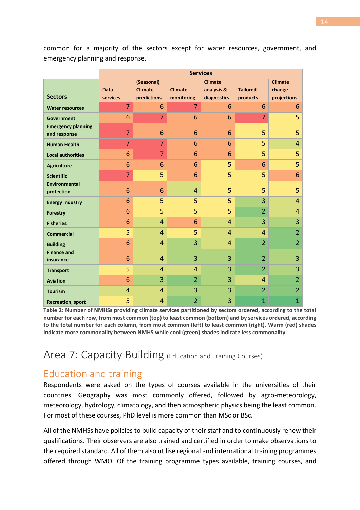common for a majority of the sectors except for water resources, government, and emergency planning and response.

|                                           | <b>Services</b>         |                                             |                              |                                             |                             |                                         |  |  |
|-------------------------------------------|-------------------------|---------------------------------------------|------------------------------|---------------------------------------------|-----------------------------|-----------------------------------------|--|--|
| <b>Sectors</b>                            | <b>Data</b><br>services | (Seasonal)<br><b>Climate</b><br>predictions | <b>Climate</b><br>monitoring | <b>Climate</b><br>analysis &<br>diagnostics | <b>Tailored</b><br>products | <b>Climate</b><br>change<br>projections |  |  |
| <b>Water resources</b>                    | $\overline{7}$          | 6                                           | 7                            | 6                                           | 6                           | 6                                       |  |  |
| <b>Government</b>                         | 6                       | $\overline{7}$                              | 6                            | 6                                           | $\overline{7}$              | 5                                       |  |  |
| <b>Emergency planning</b><br>and response | $\overline{7}$          | 6                                           | 6                            | 6                                           | 5                           | 5                                       |  |  |
| <b>Human Health</b>                       | $\overline{7}$          | $\overline{7}$                              | 6                            | 6                                           | 5                           | $\overline{4}$                          |  |  |
| <b>Local authorities</b>                  | 6                       | $\overline{7}$                              | 6                            | 6                                           | 5                           | 5                                       |  |  |
| <b>Agriculture</b>                        | 6                       | 6                                           | 6                            | 5                                           | 6                           | 5                                       |  |  |
| <b>Scientific</b>                         | $\overline{7}$          | 5                                           | 6                            | 5                                           | 5                           | 6                                       |  |  |
| Environmental<br>protection               | 6                       | 6                                           | 4                            | 5                                           | 5                           | 5                                       |  |  |
| <b>Energy industry</b>                    | 6                       | 5                                           | 5                            | 5                                           | 3                           | $\overline{4}$                          |  |  |
| <b>Forestry</b>                           | 6                       | 5                                           | 5                            | 5                                           | $\overline{2}$              | $\overline{4}$                          |  |  |
| <b>Fisheries</b>                          | 6                       | 4                                           | 6                            | 4                                           | 3                           | 3                                       |  |  |
| <b>Commercial</b>                         | 5                       | $\overline{4}$                              | 5                            | $\overline{4}$                              | 4                           | $\overline{2}$                          |  |  |
| <b>Building</b>                           | 6                       | 4                                           | 3                            | 4                                           | $\overline{2}$              | $\overline{2}$                          |  |  |
| <b>Finance and</b><br>insurance           | 6                       | $\overline{4}$                              | 3                            | 3                                           | $\overline{2}$              | 3                                       |  |  |
| <b>Transport</b>                          | 5                       | $\overline{4}$                              | $\overline{4}$               | 3                                           | $\overline{2}$              | 3                                       |  |  |
| <b>Aviation</b>                           | 6                       | 3                                           | $\overline{2}$               | 3                                           | 4                           | $\overline{2}$                          |  |  |
| <b>Tourism</b>                            | 4                       | 4                                           | 3                            | 3                                           | $\overline{2}$              | $\overline{2}$                          |  |  |
| <b>Recreation, sport</b>                  | 5                       | $\overline{4}$                              | $\overline{2}$               | 3                                           | $\overline{1}$              | $\overline{1}$                          |  |  |

<span id="page-14-0"></span>**Table 2: Number of NMHSs providing climate services partitioned by sectors ordered, according to the total number for each row, from most common (top) to least common (bottom) and by services ordered, according to the total number for each column, from most common (left) to least common (right). Warm (red) shades indicate more commonality between NMHS while cool (green) shades indicate less commonality.**

# Area 7: Capacity Building (Education and Training Courses)

# Education and training

Respondents were asked on the types of courses available in the universities of their countries. Geography was most commonly offered, followed by agro-meteorology, meteorology, hydrology, climatology, and then atmospheric physics being the least common. For most of these courses, PhD level is more common than MSc or BSc.

All of the NMHSs have policies to build capacity of their staff and to continuously renew their qualifications. Their observers are also trained and certified in order to make observations to the required standard. All of them also utilise regional and international training programmes offered through WMO. Of the training programme types available, training courses, and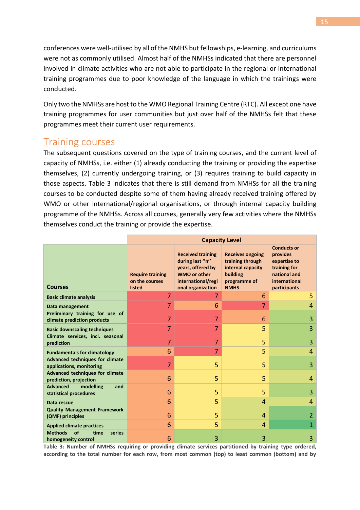conferences were well-utilised by all of the NMHS but fellowships, e-learning, and curriculums were not as commonly utilised. Almost half of the NMHSs indicated that there are personnel involved in climate activities who are not able to participate in the regional or international training programmes due to poor knowledge of the language in which the trainings were conducted.

Only two the NMHSs are host to the WMO Regional Training Centre (RTC). All except one have training programmes for user communities but just over half of the NMHSs felt that these programmes meet their current user requirements.

#### Training courses

The subsequent questions covered on the type of training courses, and the current level of capacity of NMHSs, i.e. either (1) already conducting the training or providing the expertise themselves, (2) currently undergoing training, or (3) requires training to build capacity in those aspects. [Table 3](#page-15-0) indicates that there is still demand from NMHSs for all the training courses to be conducted despite some of them having already received training offered by WMO or other international/regional organisations, or through internal capacity building programme of the NMHSs. Across all courses, generally very few activities where the NMHSs themselves conduct the training or provide the expertise.

|                                                                    | <b>Capacity Level</b>                               |                                                                                                                                    |                                                                                                             |                                                                                                                 |  |  |
|--------------------------------------------------------------------|-----------------------------------------------------|------------------------------------------------------------------------------------------------------------------------------------|-------------------------------------------------------------------------------------------------------------|-----------------------------------------------------------------------------------------------------------------|--|--|
| <b>Courses</b>                                                     | <b>Require training</b><br>on the courses<br>listed | <b>Received training</b><br>during last "n"<br>years, offered by<br><b>WMO or other</b><br>international/regi<br>onal organization | <b>Receives ongoing</b><br>training through<br>internal capacity<br>building<br>programme of<br><b>NMHS</b> | <b>Conducts or</b><br>provides<br>expertise to<br>training for<br>national and<br>international<br>participants |  |  |
| <b>Basic climate analysis</b>                                      | $\overline{7}$                                      | 7                                                                                                                                  | 6                                                                                                           | 5                                                                                                               |  |  |
| Data management                                                    | $\overline{7}$                                      | 6                                                                                                                                  | $\overline{7}$                                                                                              | $\overline{4}$                                                                                                  |  |  |
| Preliminary training for use of<br>climate prediction products     | 7                                                   | 7                                                                                                                                  | 6                                                                                                           | 3                                                                                                               |  |  |
| <b>Basic downscaling techniques</b>                                | $\overline{7}$                                      | $\overline{7}$                                                                                                                     | 5                                                                                                           | 3                                                                                                               |  |  |
| Climate services, incl. seasonal<br>prediction                     | 7                                                   | 7                                                                                                                                  | 5                                                                                                           | 3                                                                                                               |  |  |
| <b>Fundamentals for climatology</b>                                | 6                                                   | $\overline{7}$                                                                                                                     | 5                                                                                                           | $\overline{4}$                                                                                                  |  |  |
| <b>Advanced techniques for climate</b><br>applications, monitoring | 7                                                   | 5                                                                                                                                  | 5                                                                                                           | 3                                                                                                               |  |  |
| <b>Advanced techniques for climate</b><br>prediction, projection   | 6                                                   | 5                                                                                                                                  | 5                                                                                                           | 4                                                                                                               |  |  |
| <b>Advanced</b><br>modelling<br>and<br>statistical procedures      | 6                                                   | 5                                                                                                                                  | 5                                                                                                           | 3                                                                                                               |  |  |
| Data rescue                                                        | 6                                                   | 5                                                                                                                                  | 4                                                                                                           | 4                                                                                                               |  |  |
| <b>Quality Management Framework</b><br>(QMF) principles            | 6                                                   | 5                                                                                                                                  | 4                                                                                                           | 2                                                                                                               |  |  |
| <b>Applied climate practices</b>                                   | 6                                                   | 5                                                                                                                                  | 4                                                                                                           | $\mathbf{1}$                                                                                                    |  |  |
| <b>Methods</b><br>of<br>time<br>series<br>homogeneity control      | 6                                                   | 3                                                                                                                                  | 3                                                                                                           | 3                                                                                                               |  |  |

<span id="page-15-0"></span>**Table 3: Number of NMHSs requiring or providing climate services partitioned by training type ordered, according to the total number for each row, from most common (top) to least common (bottom) and by**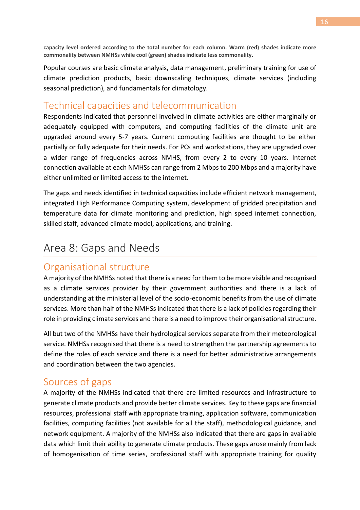**capacity level ordered according to the total number for each column. Warm (red) shades indicate more commonality between NMHSs while cool (green) shades indicate less commonality.**

Popular courses are basic climate analysis, data management, preliminary training for use of climate prediction products, basic downscaling techniques, climate services (including seasonal prediction), and fundamentals for climatology.

#### Technical capacities and telecommunication

Respondents indicated that personnel involved in climate activities are either marginally or adequately equipped with computers, and computing facilities of the climate unit are upgraded around every 5-7 years. Current computing facilities are thought to be either partially or fully adequate for their needs. For PCs and workstations, they are upgraded over a wider range of frequencies across NMHS, from every 2 to every 10 years. Internet connection available at each NMHSs can range from 2 Mbps to 200 Mbps and a majority have either unlimited or limited access to the internet.

The gaps and needs identified in technical capacities include efficient network management, integrated High Performance Computing system, development of gridded precipitation and temperature data for climate monitoring and prediction, high speed internet connection, skilled staff, advanced climate model, applications, and training.

# Area 8: Gaps and Needs

#### Organisational structure

A majority of the NMHSs noted that there is a need for them to be more visible and recognised as a climate services provider by their government authorities and there is a lack of understanding at the ministerial level of the socio-economic benefits from the use of climate services. More than half of the NMHSs indicated that there is a lack of policies regarding their role in providing climate services and there is a need to improve their organisational structure.

All but two of the NMHSs have their hydrological services separate from their meteorological service. NMHSs recognised that there is a need to strengthen the partnership agreements to define the roles of each service and there is a need for better administrative arrangements and coordination between the two agencies.

#### Sources of gaps

A majority of the NMHSs indicated that there are limited resources and infrastructure to generate climate products and provide better climate services. Key to these gaps are financial resources, professional staff with appropriate training, application software, communication facilities, computing facilities (not available for all the staff), methodological guidance, and network equipment. A majority of the NMHSs also indicated that there are gaps in available data which limit their ability to generate climate products. These gaps arose mainly from lack of homogenisation of time series, professional staff with appropriate training for quality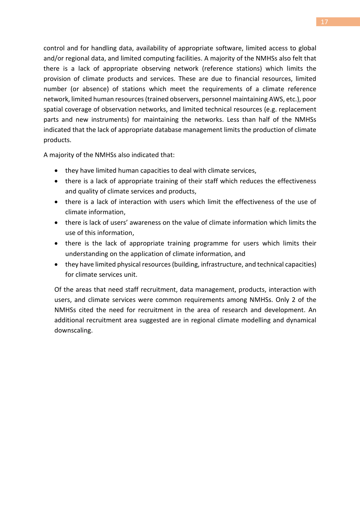control and for handling data, availability of appropriate software, limited access to global and/or regional data, and limited computing facilities. A majority of the NMHSs also felt that there is a lack of appropriate observing network (reference stations) which limits the provision of climate products and services. These are due to financial resources, limited number (or absence) of stations which meet the requirements of a climate reference network, limited human resources (trained observers, personnel maintaining AWS, etc.), poor spatial coverage of observation networks, and limited technical resources (e.g. replacement parts and new instruments) for maintaining the networks. Less than half of the NMHSs indicated that the lack of appropriate database management limits the production of climate products.

A majority of the NMHSs also indicated that:

- they have limited human capacities to deal with climate services,
- there is a lack of appropriate training of their staff which reduces the effectiveness and quality of climate services and products,
- there is a lack of interaction with users which limit the effectiveness of the use of climate information,
- there is lack of users' awareness on the value of climate information which limits the use of this information,
- there is the lack of appropriate training programme for users which limits their understanding on the application of climate information, and
- they have limited physical resources (building, infrastructure, and technical capacities) for climate services unit.

Of the areas that need staff recruitment, data management, products, interaction with users, and climate services were common requirements among NMHSs. Only 2 of the NMHSs cited the need for recruitment in the area of research and development. An additional recruitment area suggested are in regional climate modelling and dynamical downscaling.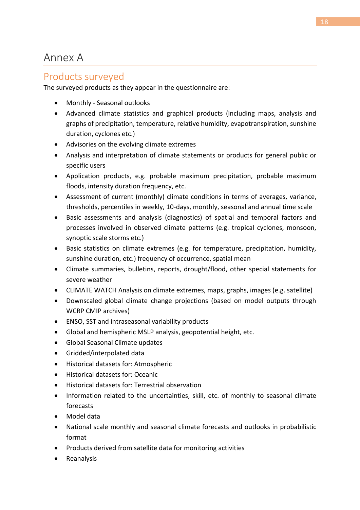# <span id="page-18-0"></span>Annex A

#### Products surveyed

The surveyed products as they appear in the questionnaire are:

- Monthly Seasonal outlooks
- Advanced climate statistics and graphical products (including maps, analysis and graphs of precipitation, temperature, relative humidity, evapotranspiration, sunshine duration, cyclones etc.)
- Advisories on the evolving climate extremes
- Analysis and interpretation of climate statements or products for general public or specific users
- Application products, e.g. probable maximum precipitation, probable maximum floods, intensity duration frequency, etc.
- Assessment of current (monthly) climate conditions in terms of averages, variance, thresholds, percentiles in weekly, 10-days, monthly, seasonal and annual time scale
- Basic assessments and analysis (diagnostics) of spatial and temporal factors and processes involved in observed climate patterns (e.g. tropical cyclones, monsoon, synoptic scale storms etc.)
- Basic statistics on climate extremes (e.g. for temperature, precipitation, humidity, sunshine duration, etc.) frequency of occurrence, spatial mean
- Climate summaries, bulletins, reports, drought/flood, other special statements for severe weather
- CLIMATE WATCH Analysis on climate extremes, maps, graphs, images (e.g. satellite)
- Downscaled global climate change projections (based on model outputs through WCRP CMIP archives)
- ENSO, SST and intraseasonal variability products
- Global and hemispheric MSLP analysis, geopotential height, etc.
- Global Seasonal Climate updates
- Gridded/interpolated data
- Historical datasets for: Atmospheric
- Historical datasets for: Oceanic
- Historical datasets for: Terrestrial observation
- Information related to the uncertainties, skill, etc. of monthly to seasonal climate forecasts
- Model data
- National scale monthly and seasonal climate forecasts and outlooks in probabilistic format
- Products derived from satellite data for monitoring activities
- Reanalysis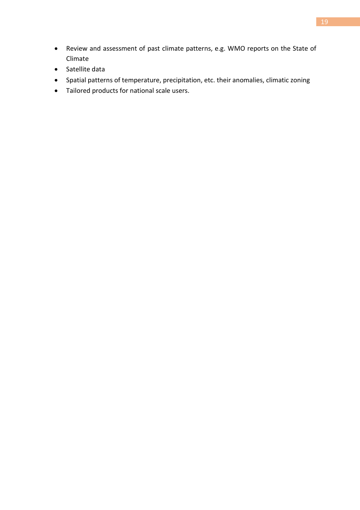- Review and assessment of past climate patterns, e.g. WMO reports on the State of Climate
- Satellite data
- Spatial patterns of temperature, precipitation, etc. their anomalies, climatic zoning
- Tailored products for national scale users.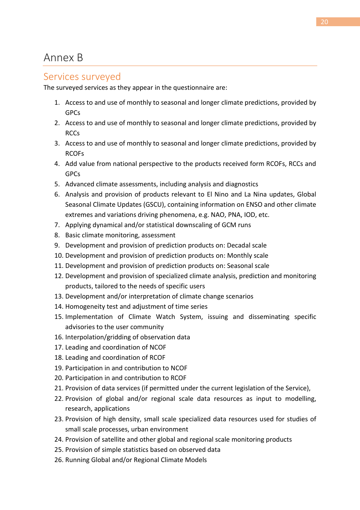#### <span id="page-20-0"></span>Services surveyed

The surveyed services as they appear in the questionnaire are:

- 1. Access to and use of monthly to seasonal and longer climate predictions, provided by GPCs
- 2. Access to and use of monthly to seasonal and longer climate predictions, provided by RCCs
- 3. Access to and use of monthly to seasonal and longer climate predictions, provided by RCOFs
- 4. Add value from national perspective to the products received form RCOFs, RCCs and GPCs
- 5. Advanced climate assessments, including analysis and diagnostics
- 6. Analysis and provision of products relevant to El Nino and La Nina updates, Global Seasonal Climate Updates (GSCU), containing information on ENSO and other climate extremes and variations driving phenomena, e.g. NAO, PNA, IOD, etc.
- 7. Applying dynamical and/or statistical downscaling of GCM runs
- 8. Basic climate monitoring, assessment
- 9. Development and provision of prediction products on: Decadal scale
- 10. Development and provision of prediction products on: Monthly scale
- 11. Development and provision of prediction products on: Seasonal scale
- 12. Development and provision of specialized climate analysis, prediction and monitoring products, tailored to the needs of specific users
- 13. Development and/or interpretation of climate change scenarios
- 14. Homogeneity test and adjustment of time series
- 15. Implementation of Climate Watch System, issuing and disseminating specific advisories to the user community
- 16. Interpolation/gridding of observation data
- 17. Leading and coordination of NCOF
- 18. Leading and coordination of RCOF
- 19. Participation in and contribution to NCOF
- 20. Participation in and contribution to RCOF
- 21. Provision of data services (if permitted under the current legislation of the Service),
- 22. Provision of global and/or regional scale data resources as input to modelling, research, applications
- 23. Provision of high density, small scale specialized data resources used for studies of small scale processes, urban environment
- 24. Provision of satellite and other global and regional scale monitoring products
- 25. Provision of simple statistics based on observed data
- 26. Running Global and/or Regional Climate Models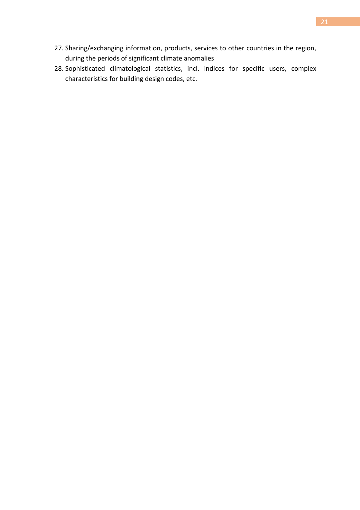- 27. Sharing/exchanging information, products, services to other countries in the region, during the periods of significant climate anomalies
- 28. Sophisticated climatological statistics, incl. indices for specific users, complex characteristics for building design codes, etc.